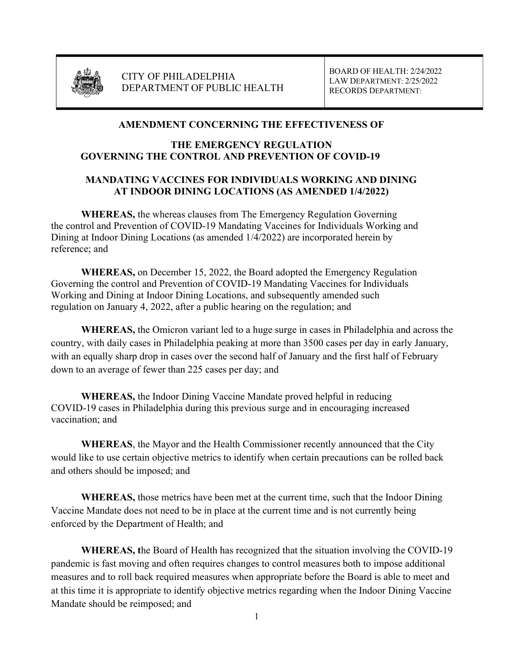

CITY OF PHILADELPHIA DEPARTMENT OF PUBLIC HEALTH BOARD OF HEALTH: 2/24/2022 LAW DEPARTMENT: 2/25/2022 RECORDS DEPARTMENT:

## AMENDMENT CONCERNING THE EFFECTIVENESS OF

## THE EMERGENCY REGULATION GOVERNING THE CONTROL AND PREVENTION OF COVID-19

## MANDATING VACCINES FOR INDIVIDUALS WORKING AND DINING AT INDOOR DINING LOCATIONS (AS AMENDED 1/4/2022)

 WHEREAS, the whereas clauses from The Emergency Regulation Governing the control and Prevention of COVID-19 Mandating Vaccines for Individuals Working and Dining at Indoor Dining Locations (as amended 1/4/2022) are incorporated herein by reference; and

 WHEREAS, on December 15, 2022, the Board adopted the Emergency Regulation Governing the control and Prevention of COVID-19 Mandating Vaccines for Individuals Working and Dining at Indoor Dining Locations, and subsequently amended such regulation on January 4, 2022, after a public hearing on the regulation; and

WHEREAS, the Omicron variant led to a huge surge in cases in Philadelphia and across the country, with daily cases in Philadelphia peaking at more than 3500 cases per day in early January, with an equally sharp drop in cases over the second half of January and the first half of February down to an average of fewer than 225 cases per day; and

WHEREAS, the Indoor Dining Vaccine Mandate proved helpful in reducing COVID-19 cases in Philadelphia during this previous surge and in encouraging increased vaccination; and

WHEREAS, the Mayor and the Health Commissioner recently announced that the City would like to use certain objective metrics to identify when certain precautions can be rolled back and others should be imposed; and

WHEREAS, those metrics have been met at the current time, such that the Indoor Dining Vaccine Mandate does not need to be in place at the current time and is not currently being enforced by the Department of Health; and

WHEREAS, the Board of Health has recognized that the situation involving the COVID-19 pandemic is fast moving and often requires changes to control measures both to impose additional measures and to roll back required measures when appropriate before the Board is able to meet and at this time it is appropriate to identify objective metrics regarding when the Indoor Dining Vaccine Mandate should be reimposed; and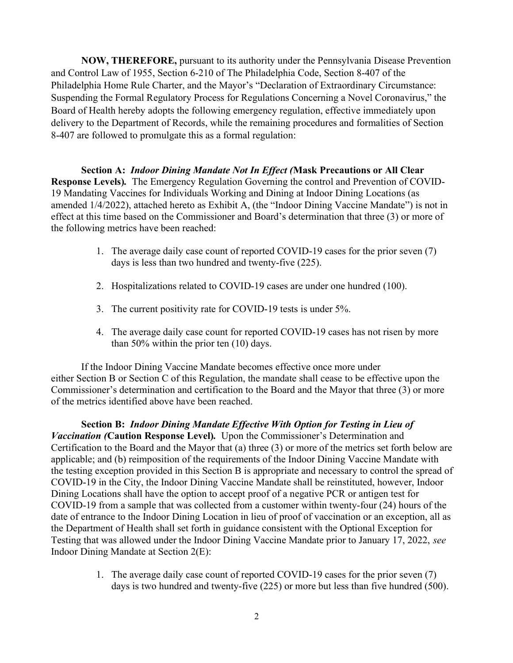NOW, THEREFORE, pursuant to its authority under the Pennsylvania Disease Prevention and Control Law of 1955, Section 6-210 of The Philadelphia Code, Section 8-407 of the Philadelphia Home Rule Charter, and the Mayor's "Declaration of Extraordinary Circumstance: Suspending the Formal Regulatory Process for Regulations Concerning a Novel Coronavirus," the Board of Health hereby adopts the following emergency regulation, effective immediately upon delivery to the Department of Records, while the remaining procedures and formalities of Section 8-407 are followed to promulgate this as a formal regulation:

Section A: Indoor Dining Mandate Not In Effect (Mask Precautions or All Clear Response Levels). The Emergency Regulation Governing the control and Prevention of COVID-19 Mandating Vaccines for Individuals Working and Dining at Indoor Dining Locations (as amended 1/4/2022), attached hereto as Exhibit A, (the "Indoor Dining Vaccine Mandate") is not in effect at this time based on the Commissioner and Board's determination that three (3) or more of the following metrics have been reached:

- 1. The average daily case count of reported COVID-19 cases for the prior seven (7) days is less than two hundred and twenty-five (225).
- 2. Hospitalizations related to COVID-19 cases are under one hundred (100).
- 3. The current positivity rate for COVID-19 tests is under 5%.
- 4. The average daily case count for reported COVID-19 cases has not risen by more than 50% within the prior ten (10) days.

If the Indoor Dining Vaccine Mandate becomes effective once more under either Section B or Section C of this Regulation, the mandate shall cease to be effective upon the Commissioner's determination and certification to the Board and the Mayor that three (3) or more of the metrics identified above have been reached.

Section B: Indoor Dining Mandate Effective With Option for Testing in Lieu of Vaccination (Caution Response Level). Upon the Commissioner's Determination and Certification to the Board and the Mayor that (a) three (3) or more of the metrics set forth below are applicable; and (b) reimposition of the requirements of the Indoor Dining Vaccine Mandate with the testing exception provided in this Section B is appropriate and necessary to control the spread of COVID-19 in the City, the Indoor Dining Vaccine Mandate shall be reinstituted, however, Indoor Dining Locations shall have the option to accept proof of a negative PCR or antigen test for COVID-19 from a sample that was collected from a customer within twenty-four (24) hours of the date of entrance to the Indoor Dining Location in lieu of proof of vaccination or an exception, all as the Department of Health shall set forth in guidance consistent with the Optional Exception for Testing that was allowed under the Indoor Dining Vaccine Mandate prior to January 17, 2022, see Indoor Dining Mandate at Section 2(E):

> 1. The average daily case count of reported COVID-19 cases for the prior seven (7) days is two hundred and twenty-five (225) or more but less than five hundred (500).